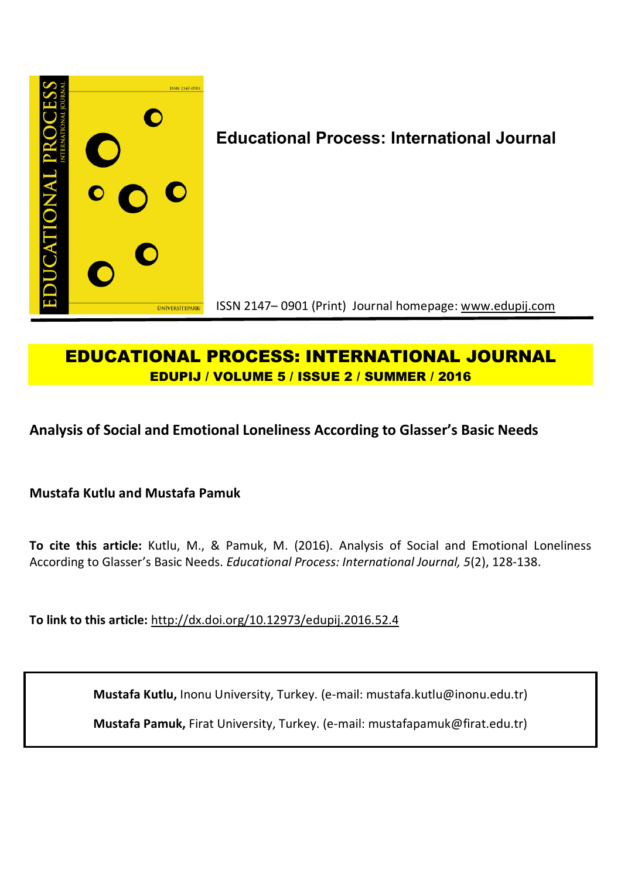

# **EDUCATIONAL PROCESS: INTERNATIONAL JOURNAL EDUPIJ / VOLUME 5 / ISSUE 2 / SUMMER / 2016**

**Analysis of Social and Emotional Loneliness According to Glasser's Basic Needs**

**Mustafa Kutlu and Mustafa Pamuk**

**To cite this article:** Kutlu, M., & Pamuk, M. (2016). Analysis of Social and Emotional Loneliness According to Glasser's Basic Needs. *Educational Process: International Journal, 5*(2), 128-138.

**To link to this article:** http://dx.doi.org/10.12973/edupij.2016.52.4

**Mustafa Kutlu,** Inonu University, Turkey. (e-mail: mustafa.kutlu@inonu.edu.tr)

**Mustafa Pamuk,** Firat University, Turkey. (e-mail: mustafapamuk@firat.edu.tr)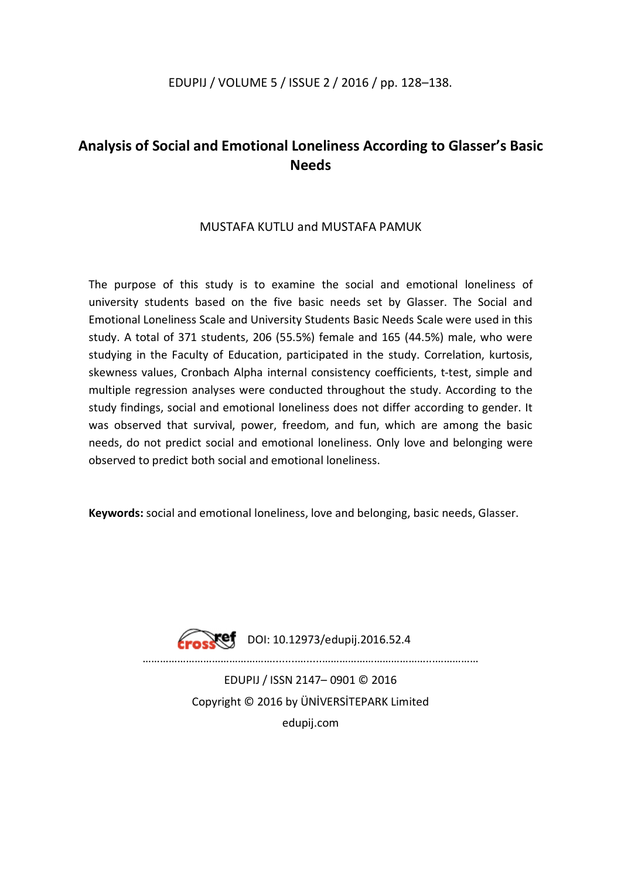## EDUPIJ / VOLUME 5 / ISSUE 2 / 2016 / pp. 128–138.

## **Analysis of Social and Emotional Loneliness According to Glasser's Basic Needs**

## MUSTAFA KUTLU and MUSTAFA PAMUK

The purpose of this study is to examine the social and emotional loneliness of university students based on the five basic needs set by Glasser. The Social and Emotional Loneliness Scale and University Students Basic Needs Scale were used in this study. A total of 371 students, 206 (55.5%) female and 165 (44.5%) male, who were studying in the Faculty of Education, participated in the study. Correlation, kurtosis, skewness values, Cronbach Alpha internal consistency coefficients, t-test, simple and multiple regression analyses were conducted throughout the study. According to the study findings, social and emotional loneliness does not differ according to gender. It was observed that survival, power, freedom, and fun, which are among the basic needs, do not predict social and emotional loneliness. Only love and belonging were observed to predict both social and emotional loneliness.

**Keywords:** social and emotional loneliness, love and belonging, basic needs, Glasser.



DOI: 10.12973/edupij.2016.52.4

 $\mathcal{L}^{(n)}$  . The contract of the contract of the contract of the contract of the contract of the contract of the contract of the contract of the contract of the contract of the contract of the contract of the contract o

EDUPIJ / ISSN 2147– 0901 © 2016 Copyright © 2016 by ÜNİVERSİTEPARK Limited edupij.com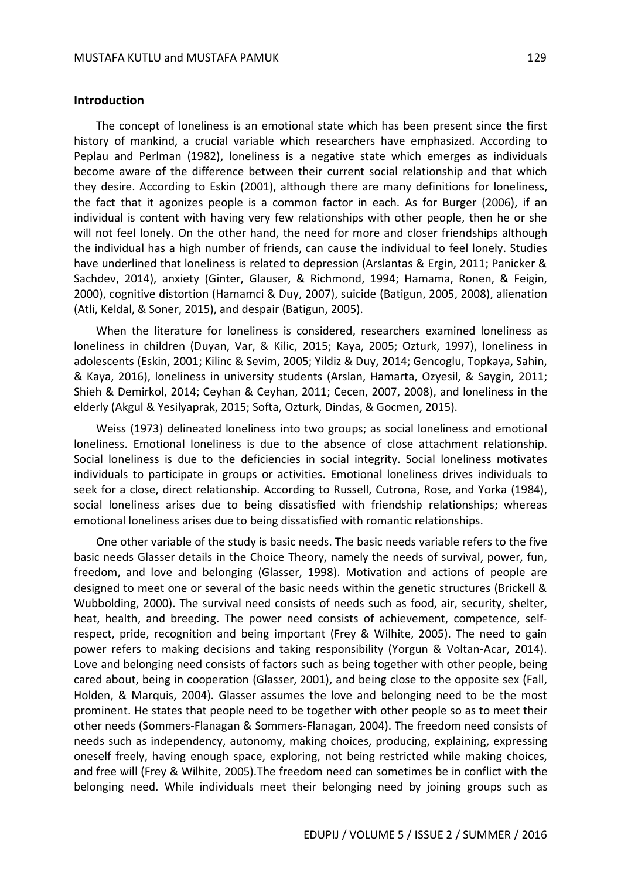#### **Introduction**

The concept of loneliness is an emotional state which has been present since the first history of mankind, a crucial variable which researchers have emphasized. According to Peplau and Perlman (1982), loneliness is a negative state which emerges as individuals become aware of the difference between their current social relationship and that which they desire. According to Eskin (2001), although there are many definitions for loneliness, the fact that it agonizes people is a common factor in each. As for Burger (2006), if an individual is content with having very few relationships with other people, then he or she will not feel lonely. On the other hand, the need for more and closer friendships although the individual has a high number of friends, can cause the individual to feel lonely. Studies have underlined that loneliness is related to depression (Arslantas & Ergin, 2011; Panicker & Sachdev, 2014), anxiety (Ginter, Glauser, & Richmond, 1994; Hamama, Ronen, & Feigin, 2000), cognitive distortion (Hamamci & Duy, 2007), suicide (Batigun, 2005, 2008), alienation (Atli, Keldal, & Soner, 2015), and despair (Batigun, 2005).

When the literature for loneliness is considered, researchers examined loneliness as loneliness in children (Duyan, Var, & Kilic, 2015; Kaya, 2005; Ozturk, 1997), loneliness in adolescents (Eskin, 2001; Kilinc & Sevim, 2005; Yildiz & Duy, 2014; Gencoglu, Topkaya, Sahin, & Kaya, 2016), loneliness in university students (Arslan, Hamarta, Ozyesil, & Saygin, 2011; Shieh & Demirkol, 2014; Ceyhan & Ceyhan, 2011; Cecen, 2007, 2008), and loneliness in the elderly (Akgul & Yesilyaprak, 2015; Softa, Ozturk, Dindas, & Gocmen, 2015).

Weiss (1973) delineated loneliness into two groups; as social loneliness and emotional loneliness. Emotional loneliness is due to the absence of close attachment relationship. Social loneliness is due to the deficiencies in social integrity. Social loneliness motivates individuals to participate in groups or activities. Emotional loneliness drives individuals to seek for a close, direct relationship. According to Russell, Cutrona, Rose, and Yorka (1984), social loneliness arises due to being dissatisfied with friendship relationships; whereas emotional loneliness arises due to being dissatisfied with romantic relationships.

One other variable of the study is basic needs. The basic needs variable refers to the five basic needs Glasser details in the Choice Theory, namely the needs of survival, power, fun, freedom, and love and belonging (Glasser, 1998). Motivation and actions of people are designed to meet one or several of the basic needs within the genetic structures (Brickell & Wubbolding, 2000). The survival need consists of needs such as food, air, security, shelter, heat, health, and breeding. The power need consists of achievement, competence, selfrespect, pride, recognition and being important (Frey & Wilhite, 2005). The need to gain power refers to making decisions and taking responsibility (Yorgun & Voltan-Acar, 2014). Love and belonging need consists of factors such as being together with other people, being cared about, being in cooperation (Glasser, 2001), and being close to the opposite sex (Fall, Holden, & Marquis, 2004). Glasser assumes the love and belonging need to be the most prominent. He states that people need to be together with other people so as to meet their other needs (Sommers-Flanagan & Sommers-Flanagan, 2004). The freedom need consists of needs such as independency, autonomy, making choices, producing, explaining, expressing oneself freely, having enough space, exploring, not being restricted while making choices, and free will (Frey & Wilhite, 2005).The freedom need can sometimes be in conflict with the belonging need. While individuals meet their belonging need by joining groups such as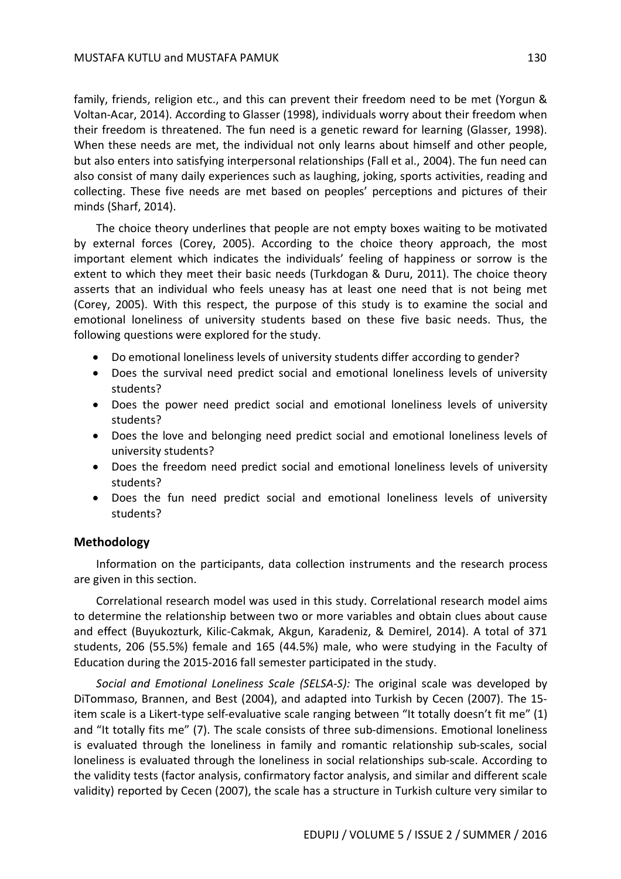family, friends, religion etc., and this can prevent their freedom need to be met (Yorgun & Voltan-Acar, 2014). According to Glasser (1998), individuals worry about their freedom when their freedom is threatened. The fun need is a genetic reward for learning (Glasser, 1998). When these needs are met, the individual not only learns about himself and other people, but also enters into satisfying interpersonal relationships (Fall et al., 2004). The fun need can also consist of many daily experiences such as laughing, joking, sports activities, reading and collecting. These five needs are met based on peoples' perceptions and pictures of their minds (Sharf, 2014).

The choice theory underlines that people are not empty boxes waiting to be motivated by external forces (Corey, 2005). According to the choice theory approach, the most important element which indicates the individuals' feeling of happiness or sorrow is the extent to which they meet their basic needs (Turkdogan & Duru, 2011). The choice theory asserts that an individual who feels uneasy has at least one need that is not being met (Corey, 2005). With this respect, the purpose of this study is to examine the social and emotional loneliness of university students based on these five basic needs. Thus, the following questions were explored for the study.

- Do emotional loneliness levels of university students differ according to gender?
- Does the survival need predict social and emotional loneliness levels of university students?
- Does the power need predict social and emotional loneliness levels of university students?
- Does the love and belonging need predict social and emotional loneliness levels of university students?
- Does the freedom need predict social and emotional loneliness levels of university students?
- Does the fun need predict social and emotional loneliness levels of university students?

### **Methodology**

Information on the participants, data collection instruments and the research process are given in this section.

Correlational research model was used in this study. Correlational research model aims to determine the relationship between two or more variables and obtain clues about cause and effect (Buyukozturk, Kilic-Cakmak, Akgun, Karadeniz, & Demirel, 2014). A total of 371 students, 206 (55.5%) female and 165 (44.5%) male, who were studying in the Faculty of Education during the 2015-2016 fall semester participated in the study.

*Social and Emotional Loneliness Scale (SELSA-S):* The original scale was developed by DiTommaso, Brannen, and Best (2004), and adapted into Turkish by Cecen (2007). The 15 item scale is a Likert-type self-evaluative scale ranging between "It totally doesn't fit me" (1) and "It totally fits me" (7). The scale consists of three sub-dimensions. Emotional loneliness is evaluated through the loneliness in family and romantic relationship sub-scales, social loneliness is evaluated through the loneliness in social relationships sub-scale. According to the validity tests (factor analysis, confirmatory factor analysis, and similar and different scale validity) reported by Cecen (2007), the scale has a structure in Turkish culture very similar to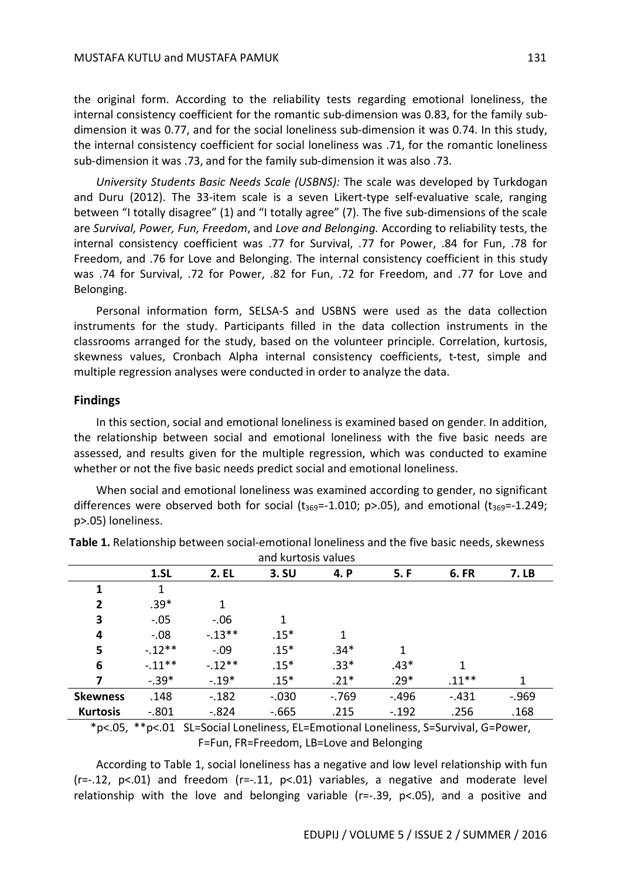the original form. According to the reliability tests regarding emotional loneliness, the internal consistency coefficient for the romantic sub-dimension was 0.83, for the family subdimension it was 0.77, and for the social loneliness sub-dimension it was 0.74. In this study, the internal consistency coefficient for social loneliness was .71, for the romantic loneliness sub-dimension it was .73, and for the family sub-dimension it was also .73.

*University Students Basic Needs Scale (USBNS):* The scale was developed by Turkdogan and Duru (2012). The 33-item scale is a seven Likert-type self-evaluative scale, ranging between "I totally disagree" (1) and "I totally agree" (7). The five sub-dimensions of the scale are *Survival, Power, Fun, Freedom*, and *Love and Belonging.* According to reliability tests, the internal consistency coefficient was .77 for Survival, .77 for Power, .84 for Fun, .78 for Freedom, and .76 for Love and Belonging. The internal consistency coefficient in this study was .74 for Survival, .72 for Power, .82 for Fun, .72 for Freedom, and .77 for Love and Belonging.

Personal information form, SELSA-S and USBNS were used as the data collection instruments for the study. Participants filled in the data collection instruments in the classrooms arranged for the study, based on the volunteer principle. Correlation, kurtosis, skewness values, Cronbach Alpha internal consistency coefficients, t-test, simple and multiple regression analyses were conducted in order to analyze the data.

#### **Findings**

In this section, social and emotional loneliness is examined based on gender. In addition, the relationship between social and emotional loneliness with the five basic needs are assessed, and results given for the multiple regression, which was conducted to examine whether or not the five basic needs predict social and emotional loneliness.

When social and emotional loneliness was examined according to gender, no significant differences were observed both for social  $(t_{369}=-1.010; p>0.05)$ , and emotional  $(t_{369}=-1.249;$ p>.05) loneliness.

| and kurtosis values |           |            |         |        |         |             |          |
|---------------------|-----------|------------|---------|--------|---------|-------------|----------|
|                     | 1.5L      | 2. EL      | 3.5U    | 4. P   | 5. F    | <b>6.FR</b> | 7. LB    |
| 1                   | 1         |            |         |        |         |             |          |
| $\overline{2}$      | $.39*$    | 1          |         |        |         |             |          |
| 3                   | $-.05$    | $-.06$     | 1       |        |         |             |          |
| 4                   | $-.08$    | $-0.13***$ | $.15*$  | 1      |         |             |          |
| 5                   | $-.12***$ | $-.09$     | $.15*$  | $.34*$ | 1       |             |          |
| 6                   | $-.11***$ | $-.12**$   | $.15*$  | $.33*$ | $.43*$  | 1           |          |
| 7                   | $-.39*$   | $-.19*$    | $.15*$  | $.21*$ | $.29*$  | $.11***$    | 1        |
| <b>Skewness</b>     | .148      | $-.182$    | $-.030$ | $-769$ | $-.496$ | $-.431$     | $-0.969$ |
| <b>Kurtosis</b>     | $-.801$   | $-.824$    | $-665$  | .215   | $-.192$ | .256        | .168     |
|                     |           |            |         |        |         |             |          |

**Table 1.** Relationship between social-emotional loneliness and the five basic needs, skewness and kurtosis values

\*p<.05, \*\*p<.01 SL=Social Loneliness, EL=Emotional Loneliness, S=Survival, G=Power, F=Fun, FR=Freedom, LB=Love and Belonging

According to Table 1, social loneliness has a negative and low level relationship with fun  $(r=-.12, p<.01)$  and freedom  $(r=-.11, p<.01)$  variables, a negative and moderate level relationship with the love and belonging variable (r=-.39, p<.05), and a positive and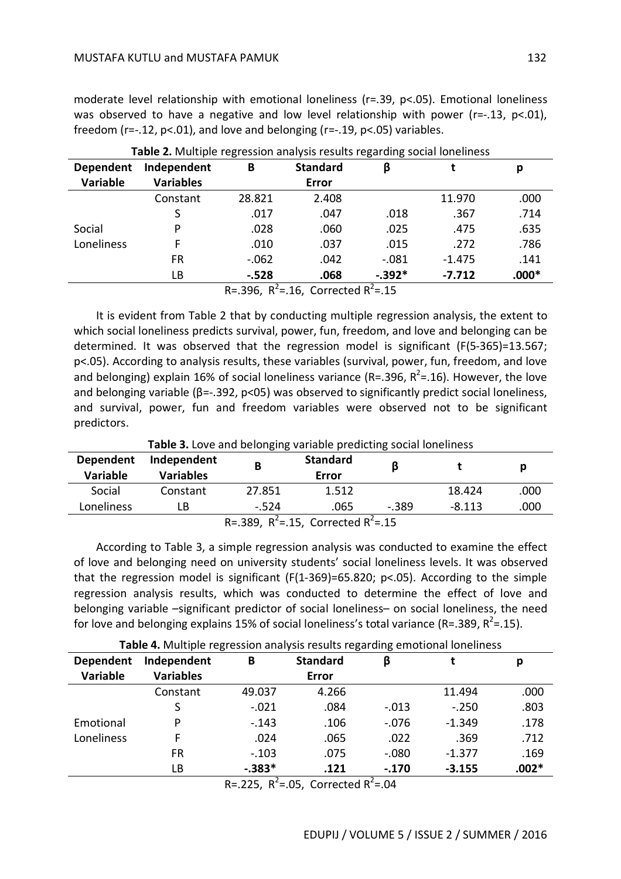moderate level relationship with emotional loneliness ( $r = .39$ ,  $p < .05$ ). Emotional loneliness was observed to have a negative and low level relationship with power (r=-.13, p<.01), freedom ( $r=-.12$ ,  $p<-.01$ ), and love and belonging ( $r=-.19$ ,  $p<-.05$ ) variables.

| Dependent                                 | Independent      | В       | <b>Standard</b> | β        |          | p       |  |
|-------------------------------------------|------------------|---------|-----------------|----------|----------|---------|--|
| <b>Variable</b>                           | <b>Variables</b> |         | Error           |          |          |         |  |
|                                           | Constant         | 28.821  | 2.408           |          | 11.970   | .000    |  |
|                                           | S                | .017    | .047            | .018     | .367     | .714    |  |
| Social                                    | P                | .028    | .060            | .025     | .475     | .635    |  |
| Loneliness                                | F                | .010    | .037            | .015     | .272     | .786    |  |
|                                           | FR               | $-.062$ | .042            | $-.081$  | $-1.475$ | .141    |  |
|                                           | LB               | $-.528$ | .068            | $-.392*$ | $-7.712$ | $.000*$ |  |
| $R = 396$ $R^2 = 16$ Corrected $R^2 = 15$ |                  |         |                 |          |          |         |  |

**Table 2.** Multiple regression analysis results regarding social loneliness

R=.396,  $R^2$ =.16, Corrected  $R^2$ =.15

It is evident from Table 2 that by conducting multiple regression analysis, the extent to which social loneliness predicts survival, power, fun, freedom, and love and belonging can be determined. It was observed that the regression model is significant (F(5-365)=13.567; p<.05). According to analysis results, these variables (survival, power, fun, freedom, and love and belonging) explain 16% of social loneliness variance (R=.396, R<sup>2</sup>=.16). However, the love and belonging variable ( $\beta = -0.392$ , p<05) was observed to significantly predict social loneliness, and survival, power, fun and freedom variables were observed not to be significant predictors.

**Table 3.** Love and belonging variable predicting social loneliness

| Dependent<br><b>Variable</b>             | Independent<br><b>Variables</b> | В       | <b>Standard</b><br>Error | ß       |          | р    |  |
|------------------------------------------|---------------------------------|---------|--------------------------|---------|----------|------|--|
| Social                                   | Constant                        | 27.851  | 1.512                    |         | 18.424   | .000 |  |
| Loneliness                               | LB                              | $-.524$ | .065                     | $-.389$ | $-8.113$ | .000 |  |
| R=.389, $R^2$ =.15, Corrected $R^2$ =.15 |                                 |         |                          |         |          |      |  |

According to Table 3, a simple regression analysis was conducted to examine the effect of love and belonging need on university students' social loneliness levels. It was observed that the regression model is significant (F(1-369)=65.820; p<.05). According to the simple regression analysis results, which was conducted to determine the effect of love and belonging variable –significant predictor of social loneliness– on social loneliness, the need for love and belonging explains 15% of social loneliness's total variance (R=.389, R<sup>2</sup>=.15).

**Table 4.** Multiple regression analysis results regarding emotional loneliness

| <b>Dependent</b> | Independent      | В        | <b>Standard</b> | ß           |          | р       |
|------------------|------------------|----------|-----------------|-------------|----------|---------|
| Variable         | <b>Variables</b> |          | <b>Error</b>    |             |          |         |
|                  | Constant         | 49.037   | 4.266           |             | 11.494   | .000    |
|                  | S                | $-.021$  | .084            | $-.013$     | $-.250$  | .803    |
| Emotional        | Þ                | $-.143$  | .106            | $-.076$     | $-1.349$ | .178    |
| Loneliness       | F                | .024     | .065            | .022        | .369     | .712    |
|                  | <b>FR</b>        | $-.103$  | .075            | $-.080$     | $-1.377$ | .169    |
|                  | LB               | $-.383*$ | .121            | $-.170$     | $-3.155$ | $.002*$ |
|                  |                  |          | $       -$      | $1 - 2 - 3$ |          |         |

R=.225,  $R^2$ =.05, Corrected  $R^2$ =.04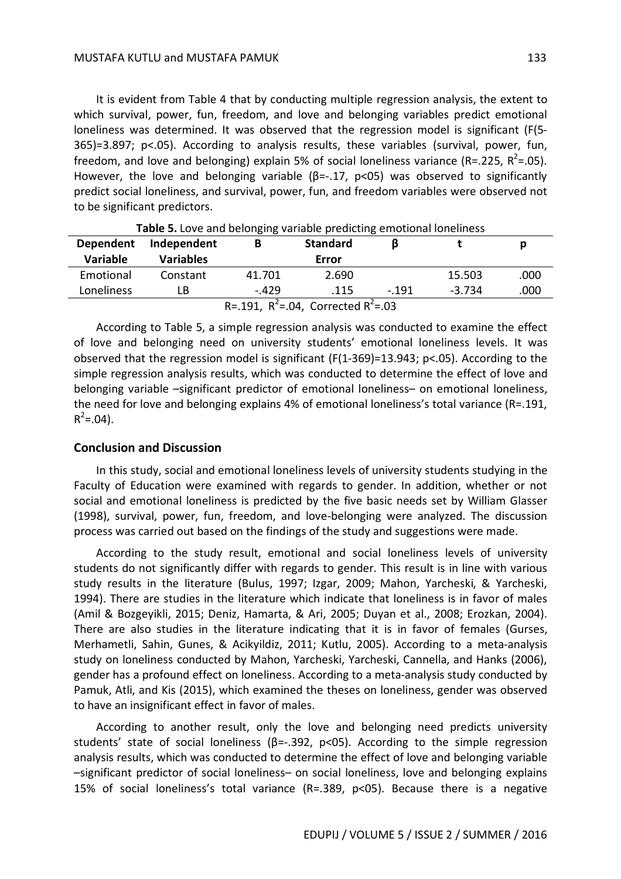It is evident from Table 4 that by conducting multiple regression analysis, the extent to which survival, power, fun, freedom, and love and belonging variables predict emotional loneliness was determined. It was observed that the regression model is significant (F(5- 365)=3.897; p<.05). According to analysis results, these variables (survival, power, fun, freedom, and love and belonging) explain 5% of social loneliness variance (R=.225, R<sup>2</sup>=.05). However, the love and belonging variable ( $\beta$ =-.17, p<05) was observed to significantly predict social loneliness, and survival, power, fun, and freedom variables were observed not to be significant predictors.

| <b>TWAIC STED TO MITH DETOITSING THINGIC PLEMICHING CHILDGOTION TOTICINICSS</b> |                  |         |                 |         |          |      |  |
|---------------------------------------------------------------------------------|------------------|---------|-----------------|---------|----------|------|--|
| <b>Dependent</b>                                                                | Independent      |         | <b>Standard</b> |         |          |      |  |
| <b>Variable</b>                                                                 | <b>Variables</b> |         | Error           |         |          |      |  |
| Emotional                                                                       | Constant         | 41.701  | 2.690           |         | 15.503   | .000 |  |
| Loneliness                                                                      | LB               | $-.429$ | .115            | $-.191$ | $-3.734$ | .000 |  |
| R=.191, $R^2$ =.04, Corrected $R^2$ =.03                                        |                  |         |                 |         |          |      |  |

**Table 5.** Love and belonging variable predicting emotional loneliness

According to Table 5, a simple regression analysis was conducted to examine the effect of love and belonging need on university students' emotional loneliness levels. It was observed that the regression model is significant (F(1-369)=13.943; p<.05). According to the simple regression analysis results, which was conducted to determine the effect of love and belonging variable –significant predictor of emotional loneliness– on emotional loneliness, the need for love and belonging explains 4% of emotional loneliness's total variance (R=.191,  $R^2 = .04$ ).

### **Conclusion and Discussion**

In this study, social and emotional loneliness levels of university students studying in the Faculty of Education were examined with regards to gender. In addition, whether or not social and emotional loneliness is predicted by the five basic needs set by William Glasser (1998), survival, power, fun, freedom, and love-belonging were analyzed. The discussion process was carried out based on the findings of the study and suggestions were made.

According to the study result, emotional and social loneliness levels of university students do not significantly differ with regards to gender. This result is in line with various study results in the literature (Bulus, 1997; Izgar, 2009; Mahon, Yarcheski, & Yarcheski, 1994). There are studies in the literature which indicate that loneliness is in favor of males (Amil & Bozgeyikli, 2015; Deniz, Hamarta, & Ari, 2005; Duyan et al., 2008; Erozkan, 2004). There are also studies in the literature indicating that it is in favor of females (Gurses, Merhametli, Sahin, Gunes, & Acikyildiz, 2011; Kutlu, 2005). According to a meta-analysis study on loneliness conducted by Mahon, Yarcheski, Yarcheski, Cannella, and Hanks (2006), gender has a profound effect on loneliness. According to a meta-analysis study conducted by Pamuk, Atli, and Kis (2015), which examined the theses on loneliness, gender was observed to have an insignificant effect in favor of males.

According to another result, only the love and belonging need predicts university students' state of social loneliness ( $\beta$ =-.392, p<05). According to the simple regression analysis results, which was conducted to determine the effect of love and belonging variable –significant predictor of social loneliness– on social loneliness, love and belonging explains 15% of social loneliness's total variance (R=.389, p<05). Because there is a negative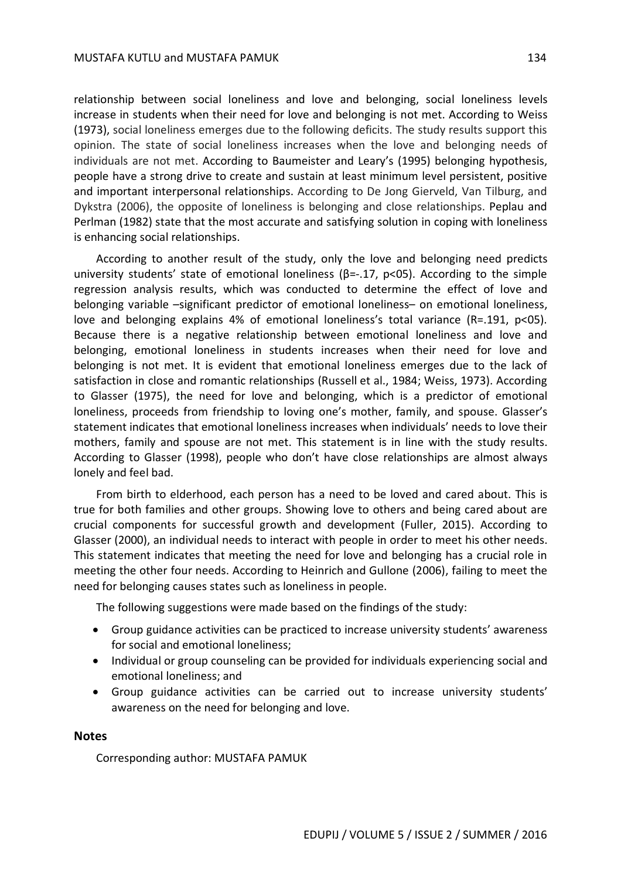relationship between social loneliness and love and belonging, social loneliness levels increase in students when their need for love and belonging is not met. According to Weiss (1973), social loneliness emerges due to the following deficits. The study results support this opinion. The state of social loneliness increases when the love and belonging needs of individuals are not met. According to Baumeister and Leary's (1995) belonging hypothesis, people have a strong drive to create and sustain at least minimum level persistent, positive and important interpersonal relationships. According to De Jong Gierveld, Van Tilburg, and Dykstra (2006), the opposite of loneliness is belonging and close relationships. Peplau and Perlman (1982) state that the most accurate and satisfying solution in coping with loneliness is enhancing social relationships.

According to another result of the study, only the love and belonging need predicts university students' state of emotional loneliness ( $\beta$ =-.17,  $p$ <05). According to the simple regression analysis results, which was conducted to determine the effect of love and belonging variable –significant predictor of emotional loneliness– on emotional loneliness, love and belonging explains 4% of emotional loneliness's total variance (R=.191, p<05). Because there is a negative relationship between emotional loneliness and love and belonging, emotional loneliness in students increases when their need for love and belonging is not met. It is evident that emotional loneliness emerges due to the lack of satisfaction in close and romantic relationships (Russell et al., 1984; Weiss, 1973). According to Glasser (1975), the need for love and belonging, which is a predictor of emotional loneliness, proceeds from friendship to loving one's mother, family, and spouse. Glasser's statement indicates that emotional loneliness increases when individuals' needs to love their mothers, family and spouse are not met. This statement is in line with the study results. According to Glasser (1998), people who don't have close relationships are almost always lonely and feel bad.

From birth to elderhood, each person has a need to be loved and cared about. This is true for both families and other groups. Showing love to others and being cared about are crucial components for successful growth and development (Fuller, 2015). According to Glasser (2000), an individual needs to interact with people in order to meet his other needs. This statement indicates that meeting the need for love and belonging has a crucial role in meeting the other four needs. According to Heinrich and Gullone (2006), failing to meet the need for belonging causes states such as loneliness in people.

The following suggestions were made based on the findings of the study:

- Group guidance activities can be practiced to increase university students' awareness for social and emotional loneliness;
- Individual or group counseling can be provided for individuals experiencing social and emotional loneliness; and
- Group guidance activities can be carried out to increase university students' awareness on the need for belonging and love.

#### **Notes**

Corresponding author: MUSTAFA PAMUK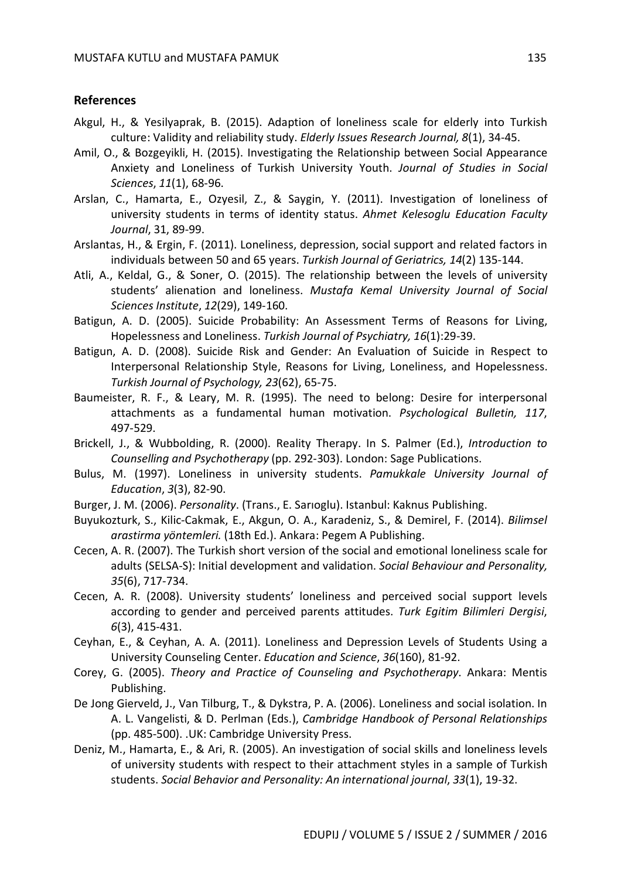#### **References**

- Akgul, H., & Yesilyaprak, B. (2015). Adaption of loneliness scale for elderly into Turkish culture: Validity and reliability study. *Elderly Issues Research Journal, 8*(1), 34-45.
- Amil, O., & Bozgeyikli, H. (2015). Investigating the Relationship between Social Appearance Anxiety and Loneliness of Turkish University Youth. *Journal of Studies in Social Sciences*, *11*(1), 68-96.
- Arslan, C., Hamarta, E., Ozyesil, Z., & Saygin, Y. (2011). Investigation of loneliness of university students in terms of identity status. *Ahmet Kelesoglu Education Faculty Journal*, 31, 89-99.
- Arslantas, H., & Ergin, F. (2011). Loneliness, depression, social support and related factors in individuals between 50 and 65 years. *Turkish Journal of Geriatrics, 14*(2) 135-144.
- Atli, A., Keldal, G., & Soner, O. (2015). The relationship between the levels of university students' alienation and loneliness. *Mustafa Kemal University Journal of Social Sciences Institute*, *12*(29), 149-160.
- Batigun, A. D. (2005). Suicide Probability: An Assessment Terms of Reasons for Living, Hopelessness and Loneliness. *Turkish Journal of Psychiatry, 16*(1):29-39.
- Batigun, A. D. (2008). Suicide Risk and Gender: An Evaluation of Suicide in Respect to Interpersonal Relationship Style, Reasons for Living, Loneliness, and Hopelessness. *Turkish Journal of Psychology, 23*(62), 65-75.
- Baumeister, R. F., & Leary, M. R. (1995). The need to belong: Desire for interpersonal attachments as a fundamental human motivation. *Psychological Bulletin, 117*, 497-529.
- Brickell, J., & Wubbolding, R. (2000). Reality Therapy. In S. Palmer (Ed.), *Introduction to Counselling and Psychotherapy* (pp. 292-303). London: Sage Publications.
- Bulus, M. (1997). Loneliness in university students. *Pamukkale University Journal of Education*, *3*(3), 82-90.
- Burger, J. M. (2006). *Personality*. (Trans., E. Sarıoglu). Istanbul: Kaknus Publishing.
- Buyukozturk, S., Kilic-Cakmak, E., Akgun, O. A., Karadeniz, S., & Demirel, F. (2014). *Bilimsel arastirma yöntemleri.* (18th Ed.). Ankara: Pegem A Publishing.
- Cecen, A. R. (2007). The Turkish short version of the social and emotional loneliness scale for adults (SELSA-S): Initial development and validation. *Social Behaviour and Personality, 35*(6), 717-734.
- Cecen, A. R. (2008). University students' loneliness and perceived social support levels according to gender and perceived parents attitudes. *Turk Egitim Bilimleri Dergisi*, *6*(3), 415-431.
- Ceyhan, E., & Ceyhan, A. A. (2011). Loneliness and Depression Levels of Students Using a University Counseling Center. *Education and Science*, *36*(160), 81-92.
- Corey, G. (2005). *Theory and Practice of Counseling and Psychotherapy*. Ankara: Mentis Publishing.
- De Jong Gierveld, J., Van Tilburg, T., & Dykstra, P. A. (2006). Loneliness and social isolation. In A. L. Vangelisti, & D. Perlman (Eds.), *Cambridge Handbook of Personal Relationships* (pp. 485-500). .UK: Cambridge University Press.
- Deniz, M., Hamarta, E., & Ari, R. (2005). An investigation of social skills and loneliness levels of university students with respect to their attachment styles in a sample of Turkish students. *Social Behavior and Personality: An international journal*, *33*(1), 19-32.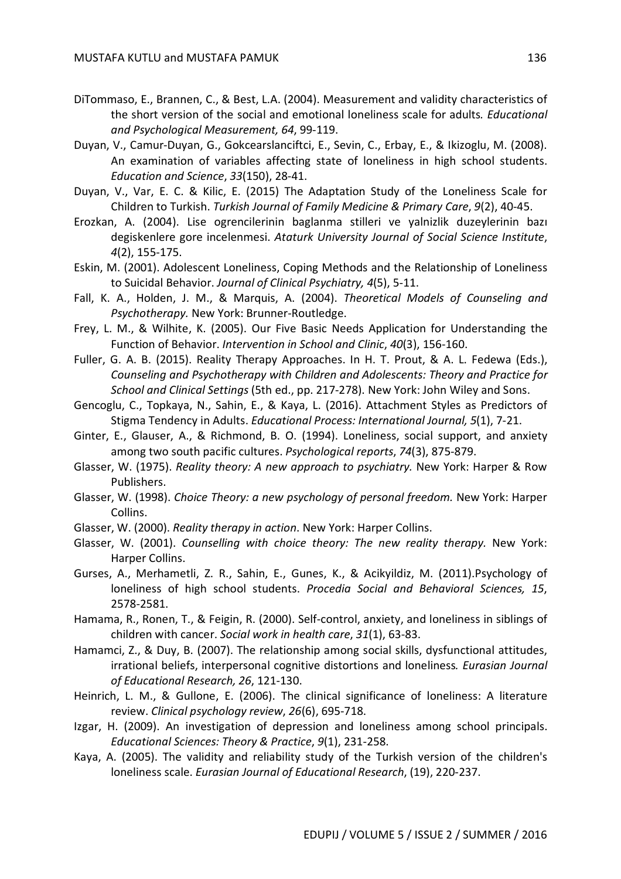- DiTommaso, E., Brannen, C., & Best, L.A. (2004). Measurement and validity characteristics of the short version of the social and emotional loneliness scale for adults*. Educational and Psychological Measurement, 64*, 99-119.
- Duyan, V., Camur-Duyan, G., Gokcearslanciftci, E., Sevin, C., Erbay, E., & Ikizoglu, M. (2008). An examination of variables affecting state of loneliness in high school students. *Education and Science*, *33*(150), 28-41.
- Duyan, V., Var, E. C. & Kilic, E. (2015) The Adaptation Study of the Loneliness Scale for Children to Turkish. *Turkish Journal of Family Medicine & Primary Care*, *9*(2), 40-45.
- Erozkan, A. (2004). Lise ogrencilerinin baglanma stilleri ve yalnizlik duzeylerinin bazı degiskenlere gore incelenmesi. *Ataturk University Journal of Social Science Institute*, *4*(2), 155-175.
- Eskin, M. (2001). Adolescent Loneliness, Coping Methods and the Relationship of Loneliness to Suicidal Behavior. *Journal of Clinical Psychiatry, 4*(5), 5-11.
- Fall, K. A., Holden, J. M., & Marquis, A. (2004). *Theoretical Models of Counseling and Psychotherapy.* New York: Brunner-Routledge.
- Frey, L. M., & Wilhite, K. (2005). Our Five Basic Needs Application for Understanding the Function of Behavior. *Intervention in School and Clinic*, *40*(3), 156-160.
- Fuller, G. A. B. (2015). Reality Therapy Approaches. In H. T. Prout, & A. L. Fedewa (Eds.), *Counseling and Psychotherapy with Children and Adolescents: Theory and Practice for School and Clinical Settings* (5th ed., pp. 217-278). New York: John Wiley and Sons.
- Gencoglu, C., Topkaya, N., Sahin, E., & Kaya, L. (2016). Attachment Styles as Predictors of Stigma Tendency in Adults. *Educational Process: International Journal, 5*(1), 7-21.
- Ginter, E., Glauser, A., & Richmond, B. O. (1994). Loneliness, social support, and anxiety among two south pacific cultures. *Psychological reports*, *74*(3), 875-879.
- Glasser, W. (1975). *Reality theory: A new approach to psychiatry.* New York: Harper & Row Publishers.
- Glasser, W. (1998). *Choice Theory: a new psychology of personal freedom.* New York: Harper Collins.
- Glasser, W. (2000). *Reality therapy in action*. New York: Harper Collins.
- Glasser, W. (2001). *Counselling with choice theory: The new reality therapy.* New York: Harper Collins.
- Gurses, A., Merhametli, Z. R., Sahin, E., Gunes, K., & Acikyildiz, M. (2011).Psychology of loneliness of high school students. *Procedia Social and Behavioral Sciences, 15*, 2578-2581.
- Hamama, R., Ronen, T., & Feigin, R. (2000). Self-control, anxiety, and loneliness in siblings of children with cancer. *Social work in health care*, *31*(1), 63-83.
- Hamamci, Z., & Duy, B. (2007). The relationship among social skills, dysfunctional attitudes, irrational beliefs, interpersonal cognitive distortions and loneliness*. Eurasian Journal of Educational Research, 26*, 121-130.
- Heinrich, L. M., & Gullone, E. (2006). The clinical significance of loneliness: A literature review. *Clinical psychology review*, *26*(6), 695-718.
- Izgar, H. (2009). An investigation of depression and loneliness among school principals. *Educational Sciences: Theory & Practice*, *9*(1), 231-258.
- Kaya, A. (2005). The validity and reliability study of the Turkish version of the children's loneliness scale. *Eurasian Journal of Educational Research*, (19), 220-237.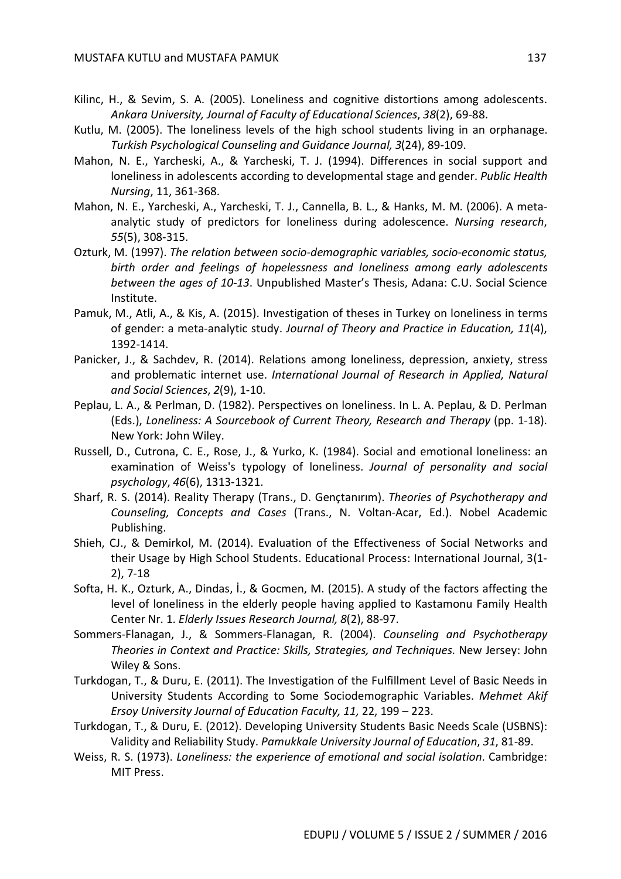- Kilinc, H., & Sevim, S. A. (2005). Loneliness and cognitive distortions among adolescents. *Ankara University, Journal of Faculty of Educational Sciences*, *38*(2), 69-88.
- Kutlu, M. (2005). The loneliness levels of the high school students living in an orphanage. *Turkish Psychological Counseling and Guidance Journal, 3*(24), 89-109.
- Mahon, N. E., Yarcheski, A., & Yarcheski, T. J. (1994). Differences in social support and loneliness in adolescents according to developmental stage and gender. *Public Health Nursing*, 11, 361-368.
- Mahon, N. E., Yarcheski, A., Yarcheski, T. J., Cannella, B. L., & Hanks, M. M. (2006). A metaanalytic study of predictors for loneliness during adolescence. *Nursing research*, *55*(5), 308-315.
- Ozturk, M. (1997). *The relation between socio-demographic variables, socio-economic status, birth order and feelings of hopelessness and loneliness among early adolescents between the ages of 10-13*. Unpublished Master's Thesis, Adana: C.U. Social Science Institute.
- Pamuk, M., Atli, A., & Kis, A. (2015). Investigation of theses in Turkey on loneliness in terms of gender: a meta-analytic study. *Journal of Theory and Practice in Education, 11*(4), 1392-1414.
- Panicker, J., & Sachdev, R. (2014). Relations among loneliness, depression, anxiety, stress and problematic internet use. *International Journal of Research in Applied, Natural and Social Sciences*, *2*(9), 1-10.
- Peplau, L. A., & Perlman, D. (1982). Perspectives on loneliness. In L. A. Peplau, & D. Perlman (Eds.), *Loneliness: A Sourcebook of Current Theory, Research and Therapy* (pp. 1-18). New York: John Wiley.
- Russell, D., Cutrona, C. E., Rose, J., & Yurko, K. (1984). Social and emotional loneliness: an examination of Weiss's typology of loneliness. *Journal of personality and social psychology*, *46*(6), 1313-1321.
- Sharf, R. S. (2014). Reality Therapy (Trans., D. Gençtanırım). *Theories of Psychotherapy and Counseling, Concepts and Cases* (Trans., N. Voltan-Acar, Ed.). Nobel Academic Publishing.
- Shieh, CJ., & Demirkol, M. (2014). Evaluation of the Effectiveness of Social Networks and their Usage by High School Students. Educational Process: International Journal, 3(1- 2), 7-18
- Softa, H. K., Ozturk, A., Dindas, İ., & Gocmen, M. (2015). A study of the factors affecting the level of loneliness in the elderly people having applied to Kastamonu Family Health Center Nr. 1. *Elderly Issues Research Journal, 8*(2), 88-97.
- Sommers-Flanagan, J., & Sommers-Flanagan, R. (2004). *Counseling and Psychotherapy Theories in Context and Practice: Skills, Strategies, and Techniques*. New Jersey: John Wiley & Sons.
- Turkdogan, T., & Duru, E. (2011). The Investigation of the Fulfillment Level of Basic Needs in University Students According to Some Sociodemographic Variables. *Mehmet Akif Ersoy University Journal of Education Faculty, 11,* 22, 199 – 223.
- Turkdogan, T., & Duru, E. (2012). Developing University Students Basic Needs Scale (USBNS): Validity and Reliability Study. *Pamukkale University Journal of Education*, *31*, 81-89.
- Weiss, R. S. (1973). *Loneliness: the experience of emotional and social isolation*. Cambridge: MIT Press.